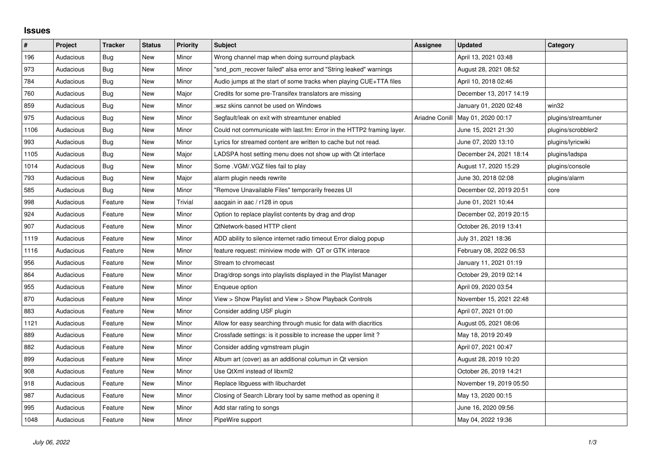## **Issues**

| #    | Project   | <b>Tracker</b> | <b>Status</b> | <b>Priority</b> | <b>Subject</b>                                                        | <b>Assignee</b> | <b>Updated</b>          | Category            |
|------|-----------|----------------|---------------|-----------------|-----------------------------------------------------------------------|-----------------|-------------------------|---------------------|
| 196  | Audacious | Bug            | <b>New</b>    | Minor           | Wrong channel map when doing surround playback                        |                 | April 13, 2021 03:48    |                     |
| 973  | Audacious | <b>Bug</b>     | <b>New</b>    | Minor           | "snd_pcm_recover failed" alsa error and "String leaked" warnings      |                 | August 28, 2021 08:52   |                     |
| 784  | Audacious | Bug            | New           | Minor           | Audio jumps at the start of some tracks when playing CUE+TTA files    |                 | April 10, 2018 02:46    |                     |
| 760  | Audacious | Bug            | <b>New</b>    | Major           | Credits for some pre-Transifex translators are missing                |                 | December 13, 2017 14:19 |                     |
| 859  | Audacious | <b>Bug</b>     | <b>New</b>    | Minor           | wsz skins cannot be used on Windows                                   |                 | January 01, 2020 02:48  | win32               |
| 975  | Audacious | Bug            | New           | Minor           | Segfault/leak on exit with streamtuner enabled                        | Ariadne Conill  | May 01, 2020 00:17      | plugins/streamtuner |
| 1106 | Audacious | Bug            | <b>New</b>    | Minor           | Could not communicate with last.fm: Error in the HTTP2 framing layer. |                 | June 15, 2021 21:30     | plugins/scrobbler2  |
| 993  | Audacious | <b>Bug</b>     | <b>New</b>    | Minor           | Lyrics for streamed content are written to cache but not read.        |                 | June 07, 2020 13:10     | plugins/lyricwiki   |
| 1105 | Audacious | <b>Bug</b>     | New           | Major           | LADSPA host setting menu does not show up with Qt interface           |                 | December 24, 2021 18:14 | plugins/ladspa      |
| 1014 | Audacious | Bug            | <b>New</b>    | Minor           | Some .VGM/.VGZ files fail to play                                     |                 | August 17, 2020 15:29   | plugins/console     |
| 793  | Audacious | <b>Bug</b>     | <b>New</b>    | Major           | alarm plugin needs rewrite                                            |                 | June 30, 2018 02:08     | plugins/alarm       |
| 585  | Audacious | Bug            | <b>New</b>    | Minor           | "Remove Unavailable Files" temporarily freezes UI                     |                 | December 02, 2019 20:51 | core                |
| 998  | Audacious | Feature        | <b>New</b>    | Trivial         | aacgain in aac / r128 in opus                                         |                 | June 01, 2021 10:44     |                     |
| 924  | Audacious | Feature        | New           | Minor           | Option to replace playlist contents by drag and drop                  |                 | December 02, 2019 20:15 |                     |
| 907  | Audacious | Feature        | <b>New</b>    | Minor           | QtNetwork-based HTTP client                                           |                 | October 26, 2019 13:41  |                     |
| 1119 | Audacious | Feature        | <b>New</b>    | Minor           | ADD ability to silence internet radio timeout Error dialog popup      |                 | July 31, 2021 18:36     |                     |
| 1116 | Audacious | Feature        | <b>New</b>    | Minor           | feature request: miniview mode with QT or GTK interace                |                 | February 08, 2022 06:53 |                     |
| 956  | Audacious | Feature        | <b>New</b>    | Minor           | Stream to chromecast                                                  |                 | January 11, 2021 01:19  |                     |
| 864  | Audacious | Feature        | <b>New</b>    | Minor           | Drag/drop songs into playlists displayed in the Playlist Manager      |                 | October 29, 2019 02:14  |                     |
| 955  | Audacious | Feature        | <b>New</b>    | Minor           | Enqueue option                                                        |                 | April 09, 2020 03:54    |                     |
| 870  | Audacious | Feature        | <b>New</b>    | Minor           | View > Show Playlist and View > Show Playback Controls                |                 | November 15, 2021 22:48 |                     |
| 883  | Audacious | Feature        | <b>New</b>    | Minor           | Consider adding USF plugin                                            |                 | April 07, 2021 01:00    |                     |
| 1121 | Audacious | Feature        | New           | Minor           | Allow for easy searching through music for data with diacritics       |                 | August 05, 2021 08:06   |                     |
| 889  | Audacious | Feature        | <b>New</b>    | Minor           | Crossfade settings: is it possible to increase the upper limit?       |                 | May 18, 2019 20:49      |                     |
| 882  | Audacious | Feature        | <b>New</b>    | Minor           | Consider adding vgmstream plugin                                      |                 | April 07, 2021 00:47    |                     |
| 899  | Audacious | Feature        | New           | Minor           | Album art (cover) as an additional columun in Qt version              |                 | August 28, 2019 10:20   |                     |
| 908  | Audacious | Feature        | New           | Minor           | Use QtXml instead of libxml2                                          |                 | October 26, 2019 14:21  |                     |
| 918  | Audacious | Feature        | <b>New</b>    | Minor           | Replace libguess with libuchardet                                     |                 | November 19, 2019 05:50 |                     |
| 987  | Audacious | Feature        | <b>New</b>    | Minor           | Closing of Search Library tool by same method as opening it           |                 | May 13, 2020 00:15      |                     |
| 995  | Audacious | Feature        | <b>New</b>    | Minor           | Add star rating to songs                                              |                 | June 16, 2020 09:56     |                     |
| 1048 | Audacious | Feature        | <b>New</b>    | Minor           | PipeWire support                                                      |                 | May 04, 2022 19:36      |                     |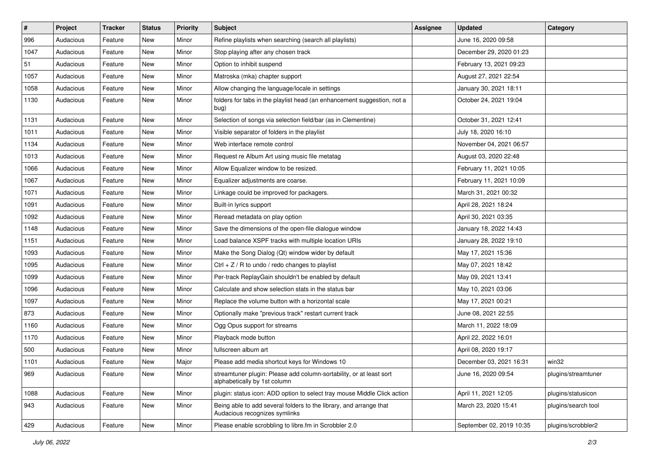| $\pmb{\#}$ | Project   | <b>Tracker</b> | <b>Status</b> | <b>Priority</b> | Subject                                                                                             | <b>Assignee</b> | <b>Updated</b>           | Category            |
|------------|-----------|----------------|---------------|-----------------|-----------------------------------------------------------------------------------------------------|-----------------|--------------------------|---------------------|
| 996        | Audacious | Feature        | New           | Minor           | Refine playlists when searching (search all playlists)                                              |                 | June 16, 2020 09:58      |                     |
| 1047       | Audacious | Feature        | New           | Minor           | Stop playing after any chosen track                                                                 |                 | December 29, 2020 01:23  |                     |
| 51         | Audacious | Feature        | New           | Minor           | Option to inhibit suspend                                                                           |                 | February 13, 2021 09:23  |                     |
| 1057       | Audacious | Feature        | New           | Minor           | Matroska (mka) chapter support                                                                      |                 | August 27, 2021 22:54    |                     |
| 1058       | Audacious | Feature        | New           | Minor           | Allow changing the language/locale in settings                                                      |                 | January 30, 2021 18:11   |                     |
| 1130       | Audacious | Feature        | New           | Minor           | folders for tabs in the playlist head (an enhancement suggestion, not a<br>bug)                     |                 | October 24, 2021 19:04   |                     |
| 1131       | Audacious | Feature        | New           | Minor           | Selection of songs via selection field/bar (as in Clementine)                                       |                 | October 31, 2021 12:41   |                     |
| 1011       | Audacious | Feature        | New           | Minor           | Visible separator of folders in the playlist                                                        |                 | July 18, 2020 16:10      |                     |
| 1134       | Audacious | Feature        | New           | Minor           | Web interface remote control                                                                        |                 | November 04, 2021 06:57  |                     |
| 1013       | Audacious | Feature        | New           | Minor           | Request re Album Art using music file metatag                                                       |                 | August 03, 2020 22:48    |                     |
| 1066       | Audacious | Feature        | New           | Minor           | Allow Equalizer window to be resized.                                                               |                 | February 11, 2021 10:05  |                     |
| 1067       | Audacious | Feature        | New           | Minor           | Equalizer adjustments are coarse.                                                                   |                 | February 11, 2021 10:09  |                     |
| 1071       | Audacious | Feature        | New           | Minor           | Linkage could be improved for packagers.                                                            |                 | March 31, 2021 00:32     |                     |
| 1091       | Audacious | Feature        | New           | Minor           | Built-in lyrics support                                                                             |                 | April 28, 2021 18:24     |                     |
| 1092       | Audacious | Feature        | New           | Minor           | Reread metadata on play option                                                                      |                 | April 30, 2021 03:35     |                     |
| 1148       | Audacious | Feature        | New           | Minor           | Save the dimensions of the open-file dialogue window                                                |                 | January 18, 2022 14:43   |                     |
| 1151       | Audacious | Feature        | New           | Minor           | Load balance XSPF tracks with multiple location URIs                                                |                 | January 28, 2022 19:10   |                     |
| 1093       | Audacious | Feature        | New           | Minor           | Make the Song Dialog (Qt) window wider by default                                                   |                 | May 17, 2021 15:36       |                     |
| 1095       | Audacious | Feature        | New           | Minor           | $Ctrl + Z / R$ to undo / redo changes to playlist                                                   |                 | May 07, 2021 18:42       |                     |
| 1099       | Audacious | Feature        | New           | Minor           | Per-track ReplayGain shouldn't be enabled by default                                                |                 | May 09, 2021 13:41       |                     |
| 1096       | Audacious | Feature        | New           | Minor           | Calculate and show selection stats in the status bar                                                |                 | May 10, 2021 03:06       |                     |
| 1097       | Audacious | Feature        | New           | Minor           | Replace the volume button with a horizontal scale                                                   |                 | May 17, 2021 00:21       |                     |
| 873        | Audacious | Feature        | New           | Minor           | Optionally make "previous track" restart current track                                              |                 | June 08, 2021 22:55      |                     |
| 1160       | Audacious | Feature        | New           | Minor           | Ogg Opus support for streams                                                                        |                 | March 11, 2022 18:09     |                     |
| 1170       | Audacious | Feature        | New           | Minor           | Playback mode button                                                                                |                 | April 22, 2022 16:01     |                     |
| 500        | Audacious | Feature        | New           | Minor           | fullscreen album art                                                                                |                 | April 08, 2020 19:17     |                     |
| 1101       | Audacious | Feature        | New           | Major           | Please add media shortcut keys for Windows 10                                                       |                 | December 03, 2021 16:31  | win32               |
| 969        | Audacious | Feature        | New           | Minor           | streamtuner plugin: Please add column-sortability, or at least sort<br>alphabetically by 1st column |                 | June 16, 2020 09:54      | plugins/streamtuner |
| 1088       | Audacious | Feature        | New           | Minor           | plugin: status icon: ADD option to select tray mouse Middle Click action                            |                 | April 11, 2021 12:05     | plugins/statusicon  |
| 943        | Audacious | Feature        | New           | Minor           | Being able to add several folders to the library, and arrange that<br>Audacious recognizes symlinks |                 | March 23, 2020 15:41     | plugins/search tool |
| 429        | Audacious | Feature        | New           | Minor           | Please enable scrobbling to libre.fm in Scrobbler 2.0                                               |                 | September 02, 2019 10:35 | plugins/scrobbler2  |